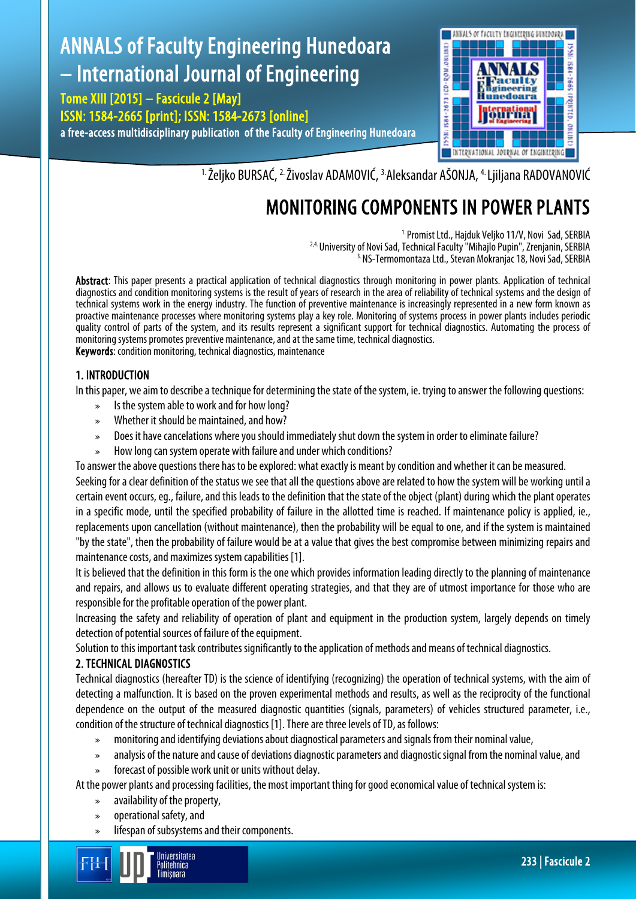# ANNALS of Faculty Engineering Hunedoara – International Journal of Engineering

Tome XIII [2015] – Fascicule 2 [May] ISSN: 1584-2665 [print]; ISSN: 1584-2673 [online] a free-access multidisciplinary publication of the Faculty of Engineering Hunedoara



<sup>1.</sup> Željko BURSAĆ, <sup>2.</sup> Živoslav ADAMOVIĆ, <sup>3.</sup>Aleksandar AŠONJA, <sup>4.</sup> Ljiljana RADOVANOVIĆ

## MONITORING COMPONENTS IN POWER PLANTS

<sup>1.</sup> Promist Ltd., Hajduk Veljko 11/V, Novi Sad, SERBIA<br><sup>2,4.</sup> University of Novi Sad, Technical Faculty "Mihajlo Pupin", Zrenjanin, SERBIA<br><sup>3.</sup> NS-Termomontaza Ltd., Stevan Mokranjac 18, Novi Sad, SERBIA

Abstract: This paper presents a practical application of technical diagnostics through monitoring in power plants. Application of technical diagnostics and condition monitoring systems is the result of years of research in the area of reliability of technical systems and the design of technical systems work in the energy industry. The function of preventive maintenance is increasingly represented in a new form known as proactive maintenance processes where monitoring systems play a key role. Monitoring of systems process in power plants includes periodic quality control of parts of the system, and its results represent a significant support for technical diagnostics. Automating the process of monitoring systems promotes preventive maintenance, and at the same time, technical diagnostics. Keywords: condition monitoring, technical diagnostics, maintenance

## 1. INTRODUCTION

In this paper, we aim to describe a technique for determining the state of the system, ie. trying to answer the following questions:

- » Is the system able to work and for how long?
- » Whether it should be maintained, and how?
- » Does it have cancelations where you should immediately shut down the system in order to eliminate failure?
- » How long can system operate with failure and under which conditions?

To answer the above questions there has to be explored: what exactly is meant by condition and whether it can be measured. Seeking for a clear definition of the status we see that all the questions above are related to how the system will be working until a certain event occurs, eg., failure, and this leads to the definition that the state of the object (plant) during which the plant operates in a specific mode, until the specified probability of failure in the allotted time is reached. If maintenance policy is applied, ie., replacements upon cancellation (without maintenance), then the probability will be equal to one, and if the system is maintained "by the state", then the probability of failure would be at a value that gives the best compromise between minimizing repairs and maintenance costs, and maximizes system capabilities [1].

It is believed that the definition in this form is the one which provides information leading directly to the planning of maintenance and repairs, and allows us to evaluate different operating strategies, and that they are of utmost importance for those who are responsible for the profitable operation of the power plant.

Increasing the safety and reliability of operation of plant and equipment in the production system, largely depends on timely detection of potential sources of failure of the equipment.

Solution to this important task contributes significantly to the application of methods and means of technical diagnostics.

## 2. TECHNICAL DIAGNOSTICS

Technical diagnostics (hereafter TD) is the science of identifying (recognizing) the operation of technical systems, with the aim of detecting a malfunction. It is based on the proven experimental methods and results, as well as the reciprocity of the functional dependence on the output of the measured diagnostic quantities (signals, parameters) of vehicles structured parameter, i.e., condition of the structure of technical diagnostics [1]. There are three levels of TD, as follows:

- » monitoring and identifying deviations about diagnostical parameters and signals from their nominal value,
- » analysis of the nature and cause of deviations diagnostic parameters and diagnostic signal from the nominal value, and
- forecast of possible work unit or units without delay.

At the power plants and processing facilities, the most important thing for good economical value of technical system is:

- » availability of the property,
- » operational safety, and
- » lifespan of subsystems and their components.

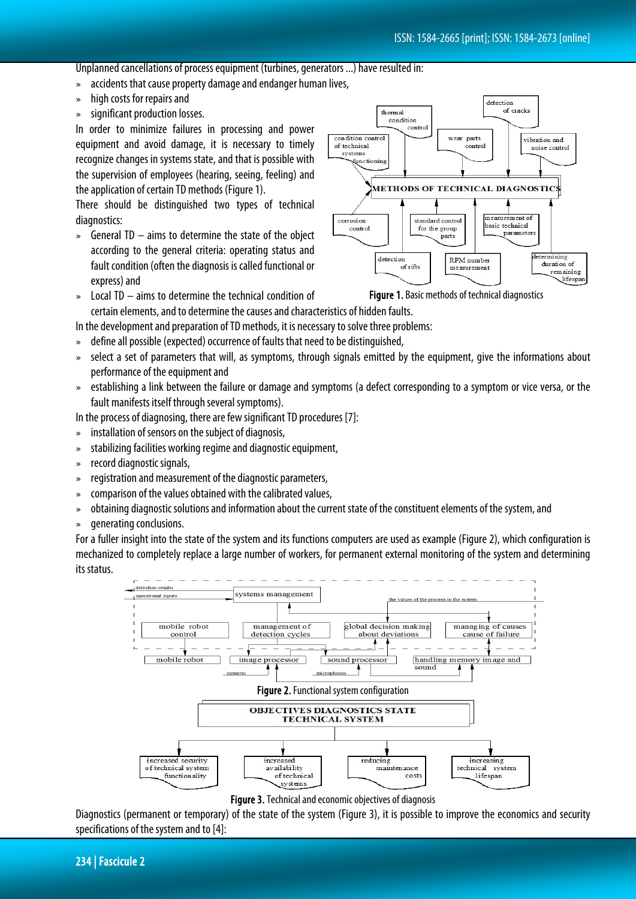detection of cracks

vihration and

Unplanned cancellations of process equipment (turbines, generators ...) have resulted in:

- » accidents that cause property damage and endanger human lives,
- » high costs for repairs and
- » significant production losses.

In order to minimize failures in processing and power equipment and avoid damage, it is necessary to timely recognize changes in systems state, and that is possible with the supervision of employees (hearing, seeing, feeling) and the application of certain TD methods (Figure 1).

There should be distinguished two types of technical diagnostics:

» General TD – aims to determine the state of the object according to the general criteria: operating status and fault condition (often the diagnosis is called functional or express) and



wear parts

control

thermal condition control

condition contro

of technical

» Local TD – aims to determine the technical condition of certain elements, and to determine the causes and characteristics of hidden faults.

In the development and preparation of TD methods, it is necessary to solve three problems:

- » define all possible (expected) occurrence of faults that need to be distinguished,
- » select a set of parameters that will, as symptoms, through signals emitted by the equipment, give the informations about performance of the equipment and
- » establishing a link between the failure or damage and symptoms (a defect corresponding to a symptom or vice versa, or the fault manifests itself through several symptoms).

In the process of diagnosing, there are few significant TD procedures [7]:

- » installation of sensors on the subject of diagnosis,
- » stabilizing facilities working regime and diagnostic equipment,
- » record diagnostic signals,
- » registration and measurement of the diagnostic parameters,
- » comparison of the values obtained with the calibrated values,
- » obtaining diagnostic solutions and information about the current state of the constituent elements of the system, and
- » generating conclusions.

For a fuller insight into the state of the system and its functions computers are used as example (Figure 2), which configuration is mechanized to completely replace a large number of workers, for permanent external monitoring of the system and determining its status.



Figure 3. Technical and economic objectives of diagnosis

Diagnostics (permanent or temporary) of the state of the system (Figure 3), it is possible to improve the economics and security specifications of the system and to [4]: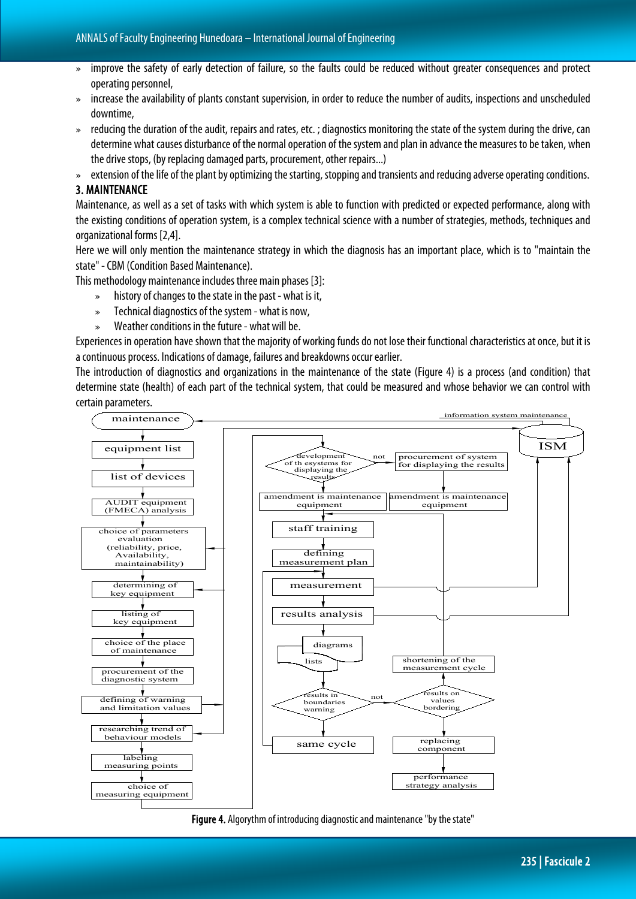- » improve the safety of early detection of failure, so the faults could be reduced without greater consequences and protect operating personnel,
- » increase the availability of plants constant supervision, in order to reduce the number of audits, inspections and unscheduled downtime,
- » reducing the duration of the audit, repairs and rates, etc. ; diagnostics monitoring the state of the system during the drive, can determine what causes disturbance of the normal operation of the system and plan in advance the measures to be taken, when the drive stops, (by replacing damaged parts, procurement, other repairs...)
- » extension of the life of the plant by optimizing the starting, stopping and transients and reducing adverse operating conditions.

### 3. MAINTENANCE

Maintenance, as well as a set of tasks with which system is able to function with predicted or expected performance, along with the existing conditions of operation system, is a complex technical science with a number of strategies, methods, techniques and organizational forms [2,4].

Here we will only mention the maintenance strategy in which the diagnosis has an important place, which is to "maintain the state" -CBM (Condition Based Maintenance).

This methodology maintenance includes three main phases [3]:

- » history of changes to the state in the past what is it,
- » Technical diagnostics of the system what is now,
- » Weather conditions in the future what will be.

Experiences in operation have shown that the majority of working funds do not lose their functional characteristics at once, but it is a continuous process. Indications of damage, failures and breakdowns occur earlier.

The introduction of diagnostics and organizations in the maintenance of the state (Figure 4) is a process (and condition) that determine state (health) of each part of the technical system, that could be measured and whose behavior we can control with certain parameters.



Figure 4. Algorythm of introducing diagnostic and maintenance "by the state"